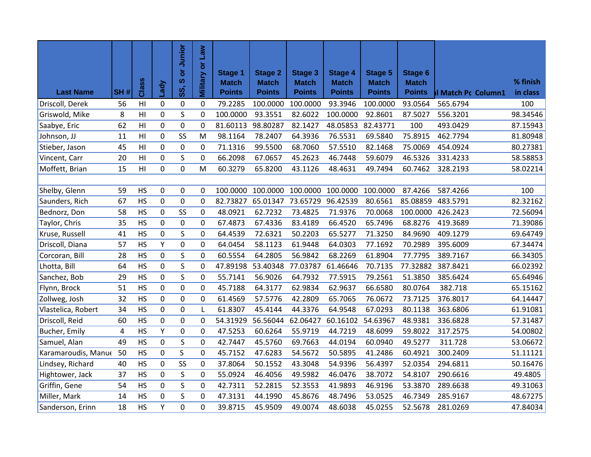|                     |           |                |             | Junior     | Military or Law |                                |                                |                                |                                |                                |                                |                     |          |
|---------------------|-----------|----------------|-------------|------------|-----------------|--------------------------------|--------------------------------|--------------------------------|--------------------------------|--------------------------------|--------------------------------|---------------------|----------|
|                     |           |                |             | ă<br>ဖ     |                 | <b>Stage 1</b><br><b>Match</b> | <b>Stage 2</b><br><b>Match</b> | <b>Stage 3</b><br><b>Match</b> | <b>Stage 4</b><br><b>Match</b> | <b>Stage 5</b><br><b>Match</b> | <b>Stage 6</b><br><b>Match</b> |                     | % finish |
| <b>Last Name</b>    | SH#       | Class          | Lady        | <b>SS,</b> |                 | <b>Points</b>                  | <b>Points</b>                  | <b>Points</b>                  | <b>Points</b>                  | <b>Points</b>                  | <b>Points</b>                  | Il Match Pc Column1 | in class |
| Driscoll, Derek     | 56        | H <sub>l</sub> | 0           | 0          | 0               | 79.2285                        | 100.0000                       | 100.0000                       | 93.3946                        | 100.0000                       | 93.0564                        | 565.6794            | 100      |
| Griswold, Mike      | 8         | H <sub>l</sub> | $\mathbf 0$ | S          | $\mathbf 0$     | 100.0000                       | 93.3551                        | 82.6022                        | 100.0000                       | 92.8601                        | 87.5027                        | 556.3201            | 98.34546 |
| Saabye, Eric        | 62        | H <sub>l</sub> | 0           | 0          | 0               | 81.60113                       | 98.80287                       | 82.1427                        | 48.05853                       | 82.43771                       | 100                            | 493.0429            | 87.15943 |
| Johnson, JJ         | 11        | H <sub>l</sub> | $\pmb{0}$   | SS         | M               | 98.1164                        | 78.2407                        | 64.3936                        | 76.5531                        | 69.5840                        | 75.8915                        | 462.7794            | 81.80948 |
| Stieber, Jason      | 45        | H <sub>l</sub> | 0           | 0          | 0               | 71.1316                        | 99.5500                        | 68.7060                        | 57.5510                        | 82.1468                        | 75.0069                        | 454.0924            | 80.27381 |
| Vincent, Carr       | 20        | H <sub>l</sub> | 0           | S          | 0               | 66.2098                        | 67.0657                        | 45.2623                        | 46.7448                        | 59.6079                        | 46.5326                        | 331.4233            | 58.58853 |
| Moffett, Brian      | 15        | H <sub>l</sub> | 0           | 0          | M               | 60.3279                        | 65.8200                        | 43.1126                        | 48.4631                        | 49.7494                        | 60.7462                        | 328.2193            | 58.02214 |
|                     |           |                |             |            |                 |                                |                                |                                |                                |                                |                                |                     |          |
| Shelby, Glenn       | 59        | <b>HS</b>      | 0           | 0          | 0               | 100.0000                       | 100.0000                       | 100.0000                       | 100.0000                       | 100.0000                       | 87.4266                        | 587.4266            | 100      |
| Saunders, Rich      | 67        | <b>HS</b>      | 0           | 0          | 0               | 82.73827                       | 65.01347                       | 73.65729                       | 96.42539                       | 80.6561                        | 85.08859                       | 483.5791            | 82.32162 |
| Bednorz, Don        | 58        | <b>HS</b>      | 0           | SS         | $\mathbf 0$     | 48.0921                        | 62.7232                        | 73.4825                        | 71.9376                        | 70.0068                        | 100.0000                       | 426.2423            | 72.56094 |
| Taylor, Chris       | 35        | <b>HS</b>      | $\mathbf 0$ | 0          | 0               | 67.4873                        | 67.4336                        | 83.4189                        | 66.4520                        | 65.7496                        | 68.8276                        | 419.3689            | 71.39086 |
| Kruse, Russell      | 41        | <b>HS</b>      | 0           | S          | 0               | 64.4539                        | 72.6321                        | 50.2203                        | 65.5277                        | 71.3250                        | 84.9690                        | 409.1279            | 69.64749 |
| Driscoll, Diana     | 57        | <b>HS</b>      | Υ           | 0          | 0               | 64.0454                        | 58.1123                        | 61.9448                        | 64.0303                        | 77.1692                        | 70.2989                        | 395.6009            | 67.34474 |
| Corcoran, Bill      | 28        | <b>HS</b>      | 0           | S          | 0               | 60.5554                        | 64.2805                        | 56.9842                        | 68.2269                        | 61.8904                        | 77.7795                        | 389.7167            | 66.34305 |
| Lhotta, Bill        | 64        | <b>HS</b>      | 0           | S          | 0               | 47.89198                       | 53.40348                       | 77.03787                       | 61.46646                       | 70.7135                        | 77.32882                       | 387.8421            | 66.02392 |
| Sanchez, Bob        | 29        | <b>HS</b>      | $\mathsf 0$ | S          | 0               | 55.7141                        | 56.9026                        | 64.7932                        | 77.5915                        | 79.2561                        | 51.3850                        | 385.6424            | 65.64946 |
| Flynn, Brock        | 51        | <b>HS</b>      | 0           | 0          | 0               | 45.7188                        | 64.3177                        | 62.9834                        | 62.9637                        | 66.6580                        | 80.0764                        | 382.718             | 65.15162 |
| Zollweg, Josh       | 32        | <b>HS</b>      | $\mathbf 0$ | 0          | 0               | 61.4569                        | 57.5776                        | 42.2809                        | 65.7065                        | 76.0672                        | 73.7125                        | 376.8017            | 64.14447 |
| Vlastelica, Robert  | 34        | <b>HS</b>      | 0           | 0          | L               | 61.8307                        | 45.4144                        | 44.3376                        | 64.9548                        | 67.0293                        | 80.1138                        | 363.6806            | 61.91081 |
| Driscoll, Reid      | 60        | <b>HS</b>      | $\pmb{0}$   | 0          | 0               | 54.31929                       | 56.56044                       | 62.06427                       | 60.16102                       | 54.63967                       | 48.9381                        | 336.6828            | 57.31487 |
| Bucher, Emily       | $\pmb{4}$ | <b>HS</b>      | Υ           | 0          | $\pmb{0}$       | 47.5253                        | 60.6264                        | 55.9719                        | 44.7219                        | 48.6099                        | 59.8022                        | 317.2575            | 54.00802 |
| Samuel, Alan        | 49        | <b>HS</b>      | 0           | S          | 0               | 42.7447                        | 45.5760                        | 69.7663                        | 44.0194                        | 60.0940                        | 49.5277                        | 311.728             | 53.06672 |
| Karamaroudis, Manue | 50        | <b>HS</b>      | $\pmb{0}$   | S          | 0               | 45.7152                        | 47.6283                        | 54.5672                        | 50.5895                        | 41.2486                        | 60.4921                        | 300.2409            | 51.11121 |
| Lindsey, Richard    | 40        | <b>HS</b>      | $\pmb{0}$   | SS         | $\pmb{0}$       | 37.8064                        | 50.1552                        | 43.3048                        | 54.9396                        | 56.4397                        | 52.0354                        | 294.6811            | 50.16476 |
| Hightower, Jack     | 37        | <b>HS</b>      | 0           | S          | 0               | 55.0924                        | 46.4056                        | 49.5982                        | 46.0476                        | 38.7072                        | 54.8107                        | 290.6616            | 49.4805  |
| Griffin, Gene       | 54        | <b>HS</b>      | 0           | S          | $\mathbf 0$     | 42.7311                        | 52.2815                        | 52.3553                        | 41.9893                        | 46.9196                        | 53.3870                        | 289.6638            | 49.31063 |
| Miller, Mark        | 14        | <b>HS</b>      | 0           | S          | 0               | 47.3131                        | 44.1990                        | 45.8676                        | 48.7496                        | 53.0525                        | 46.7349                        | 285.9167            | 48.67275 |
| Sanderson, Erinn    | 18        | <b>HS</b>      | Υ           | 0          | 0               | 39.8715                        | 45.9509                        | 49.0074                        | 48.6038                        | 45.0255                        | 52.5678                        | 281.0269            | 47.84034 |